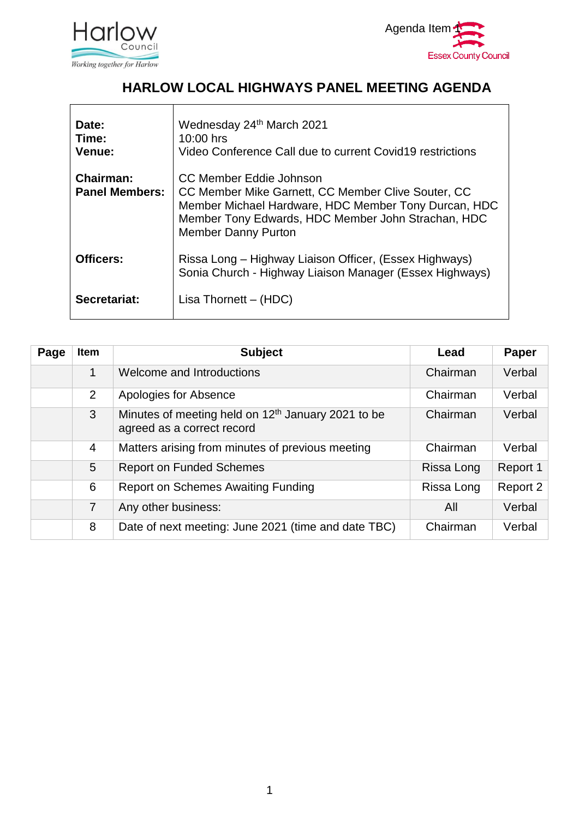

 $\mathbf{r}$ 



#### **HARLOW LOCAL HIGHWAYS PANEL MEETING AGENDA**

| Date:<br>Time:<br>Venue:                  | Wednesday 24th March 2021<br>10:00 hrs<br>Video Conference Call due to current Covid19 restrictions                                                                                                                       |
|-------------------------------------------|---------------------------------------------------------------------------------------------------------------------------------------------------------------------------------------------------------------------------|
| <b>Chairman:</b><br><b>Panel Members:</b> | CC Member Eddie Johnson<br>CC Member Mike Garnett, CC Member Clive Souter, CC<br>Member Michael Hardware, HDC Member Tony Durcan, HDC<br>Member Tony Edwards, HDC Member John Strachan, HDC<br><b>Member Danny Purton</b> |
| Officers:                                 | Rissa Long – Highway Liaison Officer, (Essex Highways)<br>Sonia Church - Highway Liaison Manager (Essex Highways)                                                                                                         |
| Secretariat:                              | Lisa Thornett $-$ (HDC)                                                                                                                                                                                                   |

| Page | <b>Item</b>    | <b>Subject</b>                                                                               | Lead       | Paper    |
|------|----------------|----------------------------------------------------------------------------------------------|------------|----------|
|      | 1              | Welcome and Introductions                                                                    | Chairman   | Verbal   |
|      | $\overline{2}$ | Apologies for Absence                                                                        | Chairman   | Verbal   |
|      | 3 <sup>1</sup> | Minutes of meeting held on 12 <sup>th</sup> January 2021 to be<br>agreed as a correct record | Chairman   | Verbal   |
|      | 4              | Matters arising from minutes of previous meeting                                             | Chairman   | Verbal   |
|      | 5              | <b>Report on Funded Schemes</b>                                                              | Rissa Long | Report 1 |
|      | 6              | <b>Report on Schemes Awaiting Funding</b>                                                    | Rissa Long | Report 2 |
|      | $\overline{7}$ | Any other business:                                                                          | All        | Verbal   |
|      | 8              | Date of next meeting: June 2021 (time and date TBC)                                          | Chairman   | Verbal   |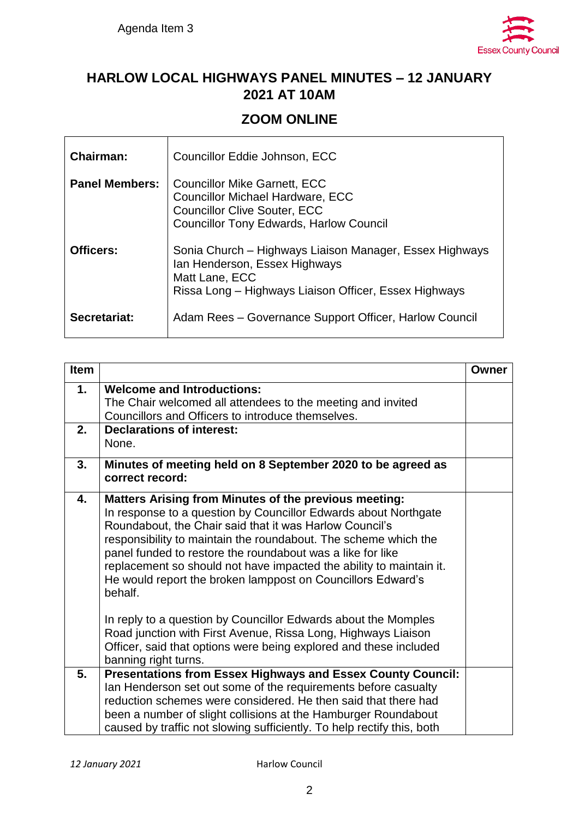$\mathbf{r}$ 



### **HARLOW LOCAL HIGHWAYS PANEL MINUTES – 12 JANUARY 2021 AT 10AM**

#### **ZOOM ONLINE**

| <b>Chairman:</b>      | Councillor Eddie Johnson, ECC                                                                                                                                           |
|-----------------------|-------------------------------------------------------------------------------------------------------------------------------------------------------------------------|
| <b>Panel Members:</b> | <b>Councillor Mike Garnett, ECC</b><br><b>Councillor Michael Hardware, ECC</b><br><b>Councillor Clive Souter, ECC</b><br><b>Councillor Tony Edwards, Harlow Council</b> |
| <b>Officers:</b>      | Sonia Church – Highways Liaison Manager, Essex Highways<br>Ian Henderson, Essex Highways<br>Matt Lane, ECC<br>Rissa Long - Highways Liaison Officer, Essex Highways     |
| Secretariat:          | Adam Rees - Governance Support Officer, Harlow Council                                                                                                                  |

| <b>Item</b> |                                                                                                                                                                                                                                                                                                                                                                                                                                                                              | Owner |
|-------------|------------------------------------------------------------------------------------------------------------------------------------------------------------------------------------------------------------------------------------------------------------------------------------------------------------------------------------------------------------------------------------------------------------------------------------------------------------------------------|-------|
| 1.          | <b>Welcome and Introductions:</b><br>The Chair welcomed all attendees to the meeting and invited<br>Councillors and Officers to introduce themselves.                                                                                                                                                                                                                                                                                                                        |       |
| 2.          | <b>Declarations of interest:</b><br>None.                                                                                                                                                                                                                                                                                                                                                                                                                                    |       |
| 3.          | Minutes of meeting held on 8 September 2020 to be agreed as<br>correct record:                                                                                                                                                                                                                                                                                                                                                                                               |       |
| 4.          | <b>Matters Arising from Minutes of the previous meeting:</b><br>In response to a question by Councillor Edwards about Northgate<br>Roundabout, the Chair said that it was Harlow Council's<br>responsibility to maintain the roundabout. The scheme which the<br>panel funded to restore the roundabout was a like for like<br>replacement so should not have impacted the ability to maintain it.<br>He would report the broken lamppost on Councillors Edward's<br>behalf. |       |
|             | In reply to a question by Councillor Edwards about the Momples<br>Road junction with First Avenue, Rissa Long, Highways Liaison<br>Officer, said that options were being explored and these included<br>banning right turns.                                                                                                                                                                                                                                                 |       |
| 5.          | <b>Presentations from Essex Highways and Essex County Council:</b><br>Ian Henderson set out some of the requirements before casualty<br>reduction schemes were considered. He then said that there had<br>been a number of slight collisions at the Hamburger Roundabout<br>caused by traffic not slowing sufficiently. To help rectify this, both                                                                                                                           |       |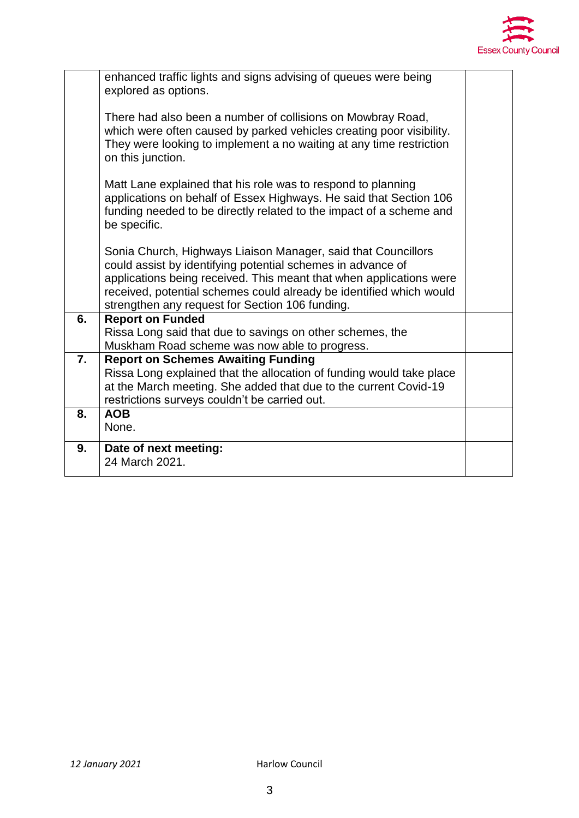

|                  | enhanced traffic lights and signs advising of queues were being<br>explored as options.                                                                                                                                                                                                                                       |  |
|------------------|-------------------------------------------------------------------------------------------------------------------------------------------------------------------------------------------------------------------------------------------------------------------------------------------------------------------------------|--|
|                  | There had also been a number of collisions on Mowbray Road,<br>which were often caused by parked vehicles creating poor visibility.<br>They were looking to implement a no waiting at any time restriction<br>on this junction.                                                                                               |  |
|                  | Matt Lane explained that his role was to respond to planning<br>applications on behalf of Essex Highways. He said that Section 106<br>funding needed to be directly related to the impact of a scheme and<br>be specific.                                                                                                     |  |
|                  | Sonia Church, Highways Liaison Manager, said that Councillors<br>could assist by identifying potential schemes in advance of<br>applications being received. This meant that when applications were<br>received, potential schemes could already be identified which would<br>strengthen any request for Section 106 funding. |  |
| 6.               | <b>Report on Funded</b><br>Rissa Long said that due to savings on other schemes, the<br>Muskham Road scheme was now able to progress.                                                                                                                                                                                         |  |
| $\overline{7}$ . | <b>Report on Schemes Awaiting Funding</b><br>Rissa Long explained that the allocation of funding would take place<br>at the March meeting. She added that due to the current Covid-19<br>restrictions surveys couldn't be carried out.                                                                                        |  |
| 8.               | <b>AOB</b><br>None.                                                                                                                                                                                                                                                                                                           |  |
| 9.               | Date of next meeting:<br>24 March 2021.                                                                                                                                                                                                                                                                                       |  |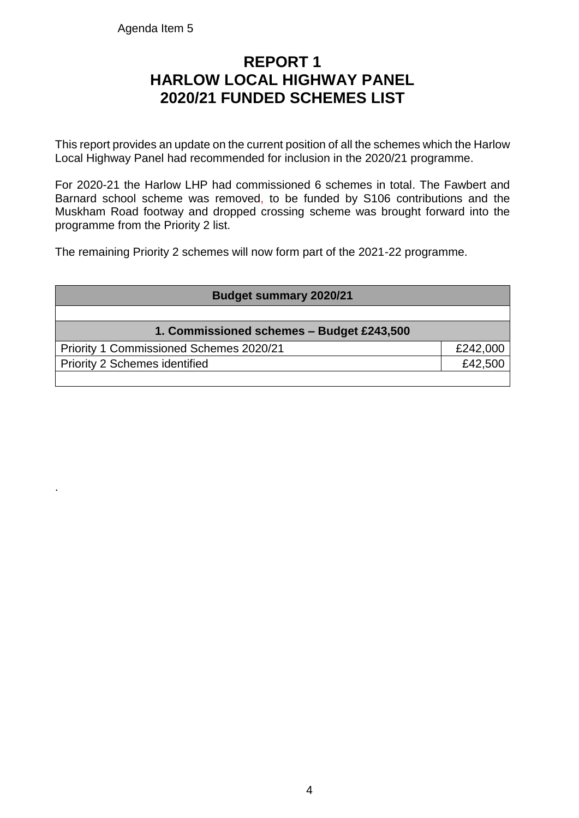Agenda Item 5

.

## **REPORT 1 HARLOW LOCAL HIGHWAY PANEL 2020/21 FUNDED SCHEMES LIST**

This report provides an update on the current position of all the schemes which the Harlow Local Highway Panel had recommended for inclusion in the 2020/21 programme.

For 2020-21 the Harlow LHP had commissioned 6 schemes in total. The Fawbert and Barnard school scheme was removed, to be funded by S106 contributions and the Muskham Road footway and dropped crossing scheme was brought forward into the programme from the Priority 2 list.

The remaining Priority 2 schemes will now form part of the 2021-22 programme.

| <b>Budget summary 2020/21</b>             |          |  |  |  |
|-------------------------------------------|----------|--|--|--|
|                                           |          |  |  |  |
| 1. Commissioned schemes - Budget £243,500 |          |  |  |  |
| Priority 1 Commissioned Schemes 2020/21   | £242,000 |  |  |  |
| <b>Priority 2 Schemes identified</b>      | £42,500  |  |  |  |
|                                           |          |  |  |  |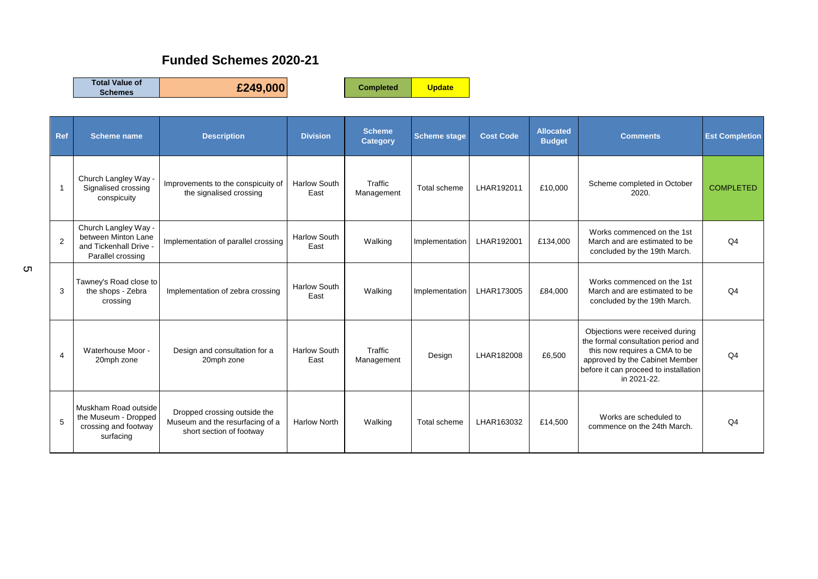#### **Funded Schemes 2020-21**

**Total Value of** 

**Schemes £249,000 Completed Update**

| Ref            | <b>Scheme name</b>                                                                         | <b>Description</b>                                                                          | <b>Division</b>             | <b>Scheme</b><br><b>Category</b> | <b>Scheme stage</b> | <b>Cost Code</b> | <b>Allocated</b><br><b>Budget</b> | <b>Comments</b>                                                                                                                                                                                  | <b>Est Completion</b> |
|----------------|--------------------------------------------------------------------------------------------|---------------------------------------------------------------------------------------------|-----------------------------|----------------------------------|---------------------|------------------|-----------------------------------|--------------------------------------------------------------------------------------------------------------------------------------------------------------------------------------------------|-----------------------|
| -1             | Church Langley Way -<br>Signalised crossing<br>conspicuity                                 | Improvements to the conspicuity of<br>the signalised crossing                               | <b>Harlow South</b><br>East | Traffic<br>Management            | Total scheme        | LHAR192011       | £10,000                           | Scheme completed in October<br>2020.                                                                                                                                                             | <b>COMPLETED</b>      |
| $\overline{2}$ | Church Langley Way -<br>between Minton Lane<br>and Tickenhall Drive -<br>Parallel crossing | Implementation of parallel crossing                                                         | <b>Harlow South</b><br>East | Walking                          | Implementation      | LHAR192001       | £134,000                          | Works commenced on the 1st<br>March and are estimated to be<br>concluded by the 19th March.                                                                                                      | Q <sub>4</sub>        |
| 3              | Tawney's Road close to<br>the shops - Zebra<br>crossing                                    | Implementation of zebra crossing                                                            | <b>Harlow South</b><br>East | Walking                          | Implementation      | LHAR173005       | £84,000                           | Works commenced on the 1st<br>March and are estimated to be<br>concluded by the 19th March.                                                                                                      | Q <sub>4</sub>        |
| $\overline{4}$ | Waterhouse Moor -<br>20mph zone                                                            | Design and consultation for a<br>20mph zone                                                 | <b>Harlow South</b><br>East | Traffic<br>Management            | Design              | LHAR182008       | £6,500                            | Objections were received during<br>the formal consultation period and<br>this now requires a CMA to be<br>approved by the Cabinet Member<br>before it can proceed to installation<br>in 2021-22. | Q <sub>4</sub>        |
| 5              | Muskham Road outside<br>the Museum - Dropped<br>crossing and footway<br>surfacing          | Dropped crossing outside the<br>Museum and the resurfacing of a<br>short section of footway | <b>Harlow North</b>         | Walking                          | Total scheme        | LHAR163032       | £14,500                           | Works are scheduled to<br>commence on the 24th March.                                                                                                                                            | Q <sub>4</sub>        |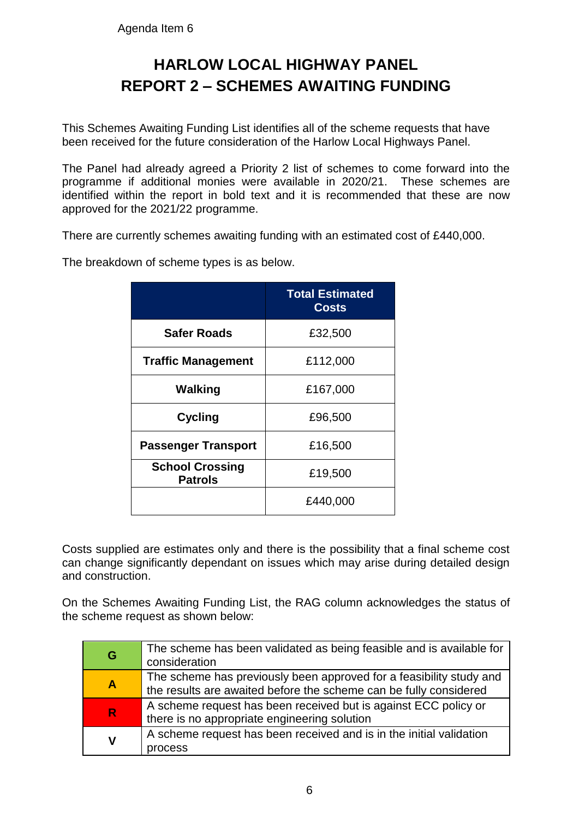## **HARLOW LOCAL HIGHWAY PANEL REPORT 2 – SCHEMES AWAITING FUNDING**

This Schemes Awaiting Funding List identifies all of the scheme requests that have been received for the future consideration of the Harlow Local Highways Panel.

The Panel had already agreed a Priority 2 list of schemes to come forward into the programme if additional monies were available in 2020/21. These schemes are identified within the report in bold text and it is recommended that these are now approved for the 2021/22 programme.

There are currently schemes awaiting funding with an estimated cost of £440,000.

The breakdown of scheme types is as below.

|                                          | <b>Total Estimated</b><br><b>Costs</b> |
|------------------------------------------|----------------------------------------|
| <b>Safer Roads</b>                       | £32,500                                |
| <b>Traffic Management</b>                | £112,000                               |
| Walking                                  | £167,000                               |
| <b>Cycling</b>                           | £96,500                                |
| <b>Passenger Transport</b>               | £16,500                                |
| <b>School Crossing</b><br><b>Patrols</b> | £19,500                                |
|                                          | £440,000                               |

Costs supplied are estimates only and there is the possibility that a final scheme cost can change significantly dependant on issues which may arise during detailed design and construction.

On the Schemes Awaiting Funding List, the RAG column acknowledges the status of the scheme request as shown below:

| G                | The scheme has been validated as being feasible and is available for<br>consideration                                                    |
|------------------|------------------------------------------------------------------------------------------------------------------------------------------|
| $\blacktriangle$ | The scheme has previously been approved for a feasibility study and<br>the results are awaited before the scheme can be fully considered |
| $\mathsf{R}$     | A scheme request has been received but is against ECC policy or<br>there is no appropriate engineering solution                          |
| V                | A scheme request has been received and is in the initial validation<br>process                                                           |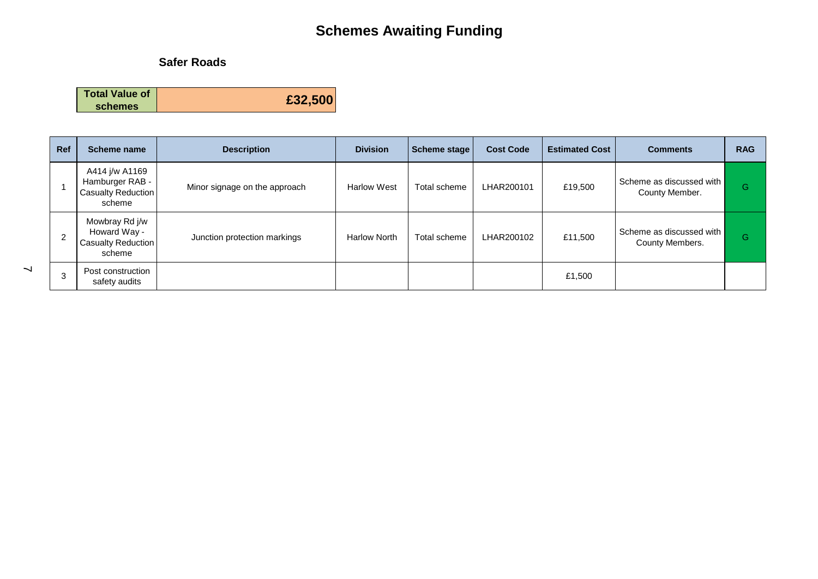#### **Safer Roads**

**Total Value of schemes £32,500**

| <b>Ref</b>     | Scheme name                                                       | <b>Description</b>            | <b>Division</b>     | Scheme stage | <b>Cost Code</b> | <b>Estimated Cost</b> | <b>Comments</b>                             | <b>RAG</b> |
|----------------|-------------------------------------------------------------------|-------------------------------|---------------------|--------------|------------------|-----------------------|---------------------------------------------|------------|
|                | A414 j/w A1169<br>Hamburger RAB -<br>Casualty Reduction<br>scheme | Minor signage on the approach | <b>Harlow West</b>  | Total scheme | LHAR200101       | £19,500               | Scheme as discussed with<br>County Member.  | G          |
| $\overline{2}$ | Mowbray Rd j/w<br>Howard Way -<br>Casualty Reduction<br>scheme    | Junction protection markings  | <b>Harlow North</b> | Total scheme | LHAR200102       | £11,500               | Scheme as discussed with<br>County Members. | G          |
| 3              | Post construction<br>safety audits                                |                               |                     |              |                  | £1,500                |                                             |            |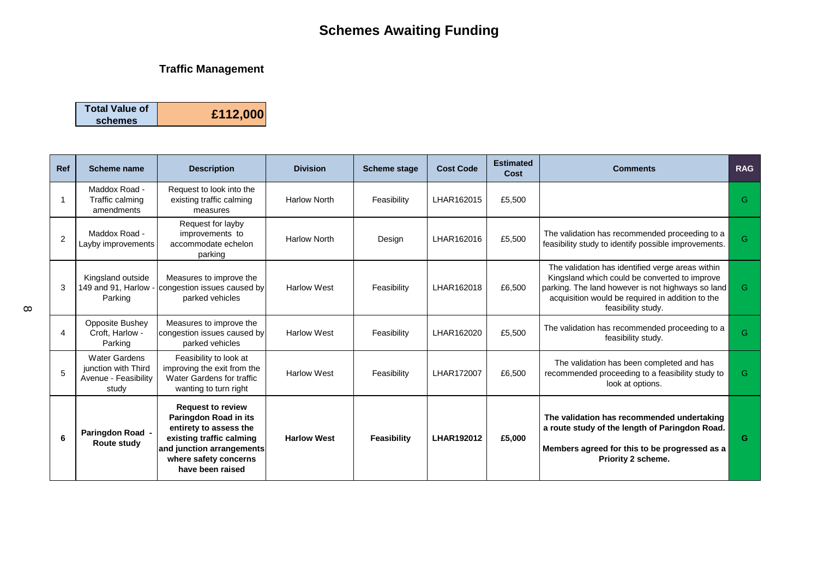#### **Traffic Management**

| <b>Total Value of</b> |          |
|-----------------------|----------|
| schemes               | £112,000 |

| <b>Ref</b> | Scheme name                                                                  | <b>Description</b>                                                                                                                                                                | <b>Division</b>     | <b>Scheme stage</b> | <b>Cost Code</b>  | <b>Estimated</b><br>Cost | <b>Comments</b>                                                                                                                                                                                                                  | <b>RAG</b> |
|------------|------------------------------------------------------------------------------|-----------------------------------------------------------------------------------------------------------------------------------------------------------------------------------|---------------------|---------------------|-------------------|--------------------------|----------------------------------------------------------------------------------------------------------------------------------------------------------------------------------------------------------------------------------|------------|
|            | Maddox Road -<br>Traffic calming<br>amendments                               | Request to look into the<br>existing traffic calming<br>measures                                                                                                                  | <b>Harlow North</b> | Feasibility         | LHAR162015        | £5,500                   |                                                                                                                                                                                                                                  | G.         |
| 2          | Maddox Road -<br>Layby improvements                                          | Request for layby<br>improvements to<br>accommodate echelon<br>parking                                                                                                            | <b>Harlow North</b> | Design              | LHAR162016        | £5,500                   | The validation has recommended proceeding to a<br>feasibility study to identify possible improvements.                                                                                                                           | G.         |
| 3          | Kingsland outside<br>149 and 91. Harlow<br>Parking                           | Measures to improve the<br>congestion issues caused by<br>parked vehicles                                                                                                         | <b>Harlow West</b>  | Feasibility         | LHAR162018        | £6.500                   | The validation has identified verge areas within<br>Kingsland which could be converted to improve<br>parking. The land however is not highways so land<br>acquisition would be required in addition to the<br>feasibility study. | G.         |
| 4          | Opposite Bushey<br>Croft, Harlow -<br>Parking                                | Measures to improve the<br>congestion issues caused by<br>parked vehicles                                                                                                         | <b>Harlow West</b>  | Feasibility         | LHAR162020        | £5,500                   | The validation has recommended proceeding to a<br>feasibility study.                                                                                                                                                             | G.         |
| 5          | <b>Water Gardens</b><br>junction with Third<br>Avenue - Feasibility<br>study | Feasibility to look at<br>improving the exit from the<br>Water Gardens for traffic<br>wanting to turn right                                                                       | <b>Harlow West</b>  | Feasibility         | LHAR172007        | £6,500                   | The validation has been completed and has<br>recommended proceeding to a feasibility study to<br>look at options.                                                                                                                | G.         |
| 6          | Paringdon Road -<br><b>Route study</b>                                       | <b>Request to review</b><br>Paringdon Road in its<br>entirety to assess the<br>existing traffic calming<br>and junction arrangements<br>where safety concerns<br>have been raised | <b>Harlow West</b>  | Feasibility         | <b>LHAR192012</b> | £5,000                   | The validation has recommended undertaking<br>a route study of the length of Paringdon Road.<br>Members agreed for this to be progressed as a<br><b>Priority 2 scheme.</b>                                                       | G          |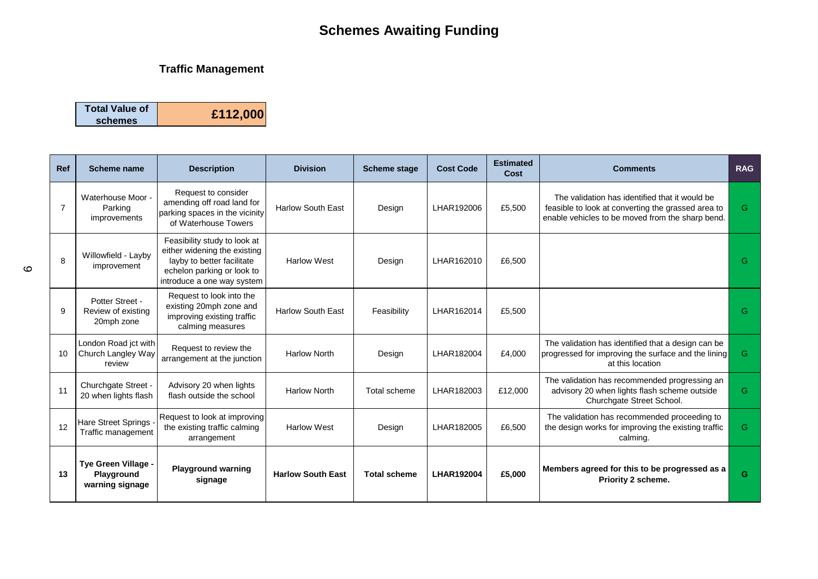#### **Traffic Management**

| <b>Total Value of</b> |          |
|-----------------------|----------|
| schemes               | £112,000 |

| <b>Ref</b> | Scheme name                                          | <b>Description</b>                                                                                                                                     | <b>Division</b>          | <b>Scheme stage</b> | <b>Cost Code</b>  | <b>Estimated</b><br>Cost | <b>Comments</b>                                                                                                                                          | <b>RAG</b> |
|------------|------------------------------------------------------|--------------------------------------------------------------------------------------------------------------------------------------------------------|--------------------------|---------------------|-------------------|--------------------------|----------------------------------------------------------------------------------------------------------------------------------------------------------|------------|
| 7          | Waterhouse Moor -<br>Parking<br>improvements         | Request to consider<br>amending off road land for<br>parking spaces in the vicinity<br>of Waterhouse Towers                                            | <b>Harlow South East</b> | Design              | LHAR192006        | £5,500                   | The validation has identified that it would be<br>feasible to look at converting the grassed area to<br>enable vehicles to be moved from the sharp bend. | G          |
| 8          | Willowfield - Layby<br>improvement                   | Feasibility study to look at<br>either widening the existing<br>layby to better facilitate<br>echelon parking or look to<br>introduce a one way system | <b>Harlow West</b>       | Design              | LHAR162010        | £6,500                   |                                                                                                                                                          | G          |
| 9          | Potter Street -<br>Review of existing<br>20mph zone  | Request to look into the<br>existing 20mph zone and<br>improving existing traffic<br>calming measures                                                  | <b>Harlow South East</b> | Feasibility         | LHAR162014        | £5,500                   |                                                                                                                                                          | G          |
| 10         | London Road jct with<br>Church Langley Way<br>review | Request to review the<br>arrangement at the junction                                                                                                   | <b>Harlow North</b>      | Design              | LHAR182004        | £4,000                   | The validation has identified that a design can be<br>progressed for improving the surface and the lining<br>at this location                            | G          |
| 11         | Churchgate Street -<br>20 when lights flash          | Advisory 20 when lights<br>flash outside the school                                                                                                    | <b>Harlow North</b>      | Total scheme        | LHAR182003        | £12,000                  | The validation has recommended progressing an<br>advisory 20 when lights flash scheme outside<br>Churchgate Street School.                               | G          |
| 12         | Hare Street Springs<br>Traffic management            | Request to look at improving<br>the existing traffic calming<br>arrangement                                                                            | <b>Harlow West</b>       | Design              | LHAR182005        | £6,500                   | The validation has recommended proceeding to<br>the design works for improving the existing traffic<br>calming.                                          | G          |
| 13         | Tye Green Village -<br>Playground<br>warning signage | <b>Playground warning</b><br>signage                                                                                                                   | <b>Harlow South East</b> | <b>Total scheme</b> | <b>LHAR192004</b> | £5,000                   | Members agreed for this to be progressed as a<br>Priority 2 scheme.                                                                                      | G          |

 $\circ$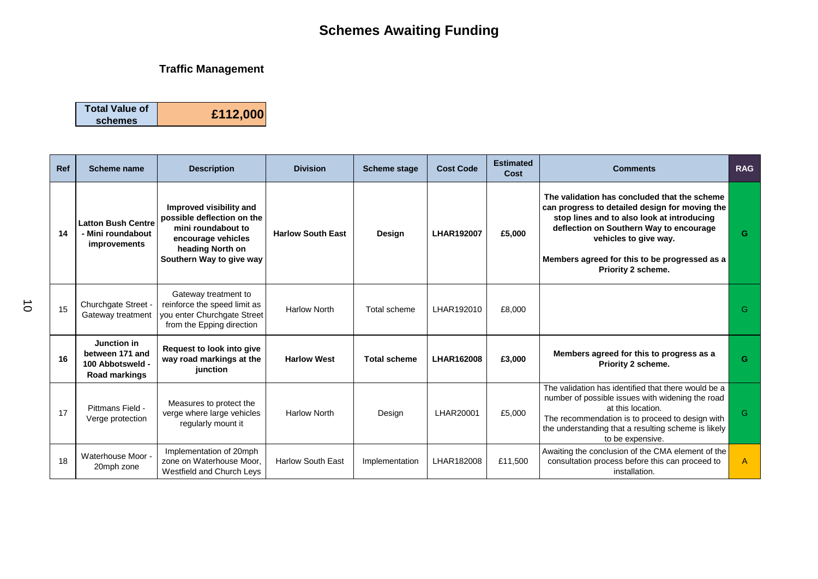#### **Traffic Management**

| <b>Total Value of</b> |          |
|-----------------------|----------|
| schemes               | £112,000 |

| Ref | <b>Scheme name</b>                                                         | <b>Description</b>                                                                                                                                | <b>Division</b>          | <b>Scheme stage</b> | <b>Cost Code</b>  | <b>Estimated</b><br>Cost | <b>Comments</b>                                                                                                                                                                                                                                                                         | <b>RAG</b> |
|-----|----------------------------------------------------------------------------|---------------------------------------------------------------------------------------------------------------------------------------------------|--------------------------|---------------------|-------------------|--------------------------|-----------------------------------------------------------------------------------------------------------------------------------------------------------------------------------------------------------------------------------------------------------------------------------------|------------|
| 14  | <b>Latton Bush Centre</b><br>- Mini roundabout<br><i>improvements</i>      | Improved visibility and<br>possible deflection on the<br>mini roundabout to<br>encourage vehicles<br>heading North on<br>Southern Way to give way | <b>Harlow South East</b> | Design              | <b>LHAR192007</b> | £5,000                   | The validation has concluded that the scheme<br>can progress to detailed design for moving the<br>stop lines and to also look at introducing<br>deflection on Southern Way to encourage<br>vehicles to give way.<br>Members agreed for this to be progressed as a<br>Priority 2 scheme. | G          |
| 15  | Churchgate Street -<br>Gateway treatment                                   | Gateway treatment to<br>reinforce the speed limit as<br>you enter Churchgate Street<br>from the Epping direction                                  | <b>Harlow North</b>      | Total scheme        | LHAR192010        | £8,000                   |                                                                                                                                                                                                                                                                                         | G.         |
| 16  | Junction in<br>between 171 and<br>100 Abbotsweld -<br><b>Road markings</b> | <b>Request to look into give</b><br>way road markings at the<br>junction                                                                          | <b>Harlow West</b>       | <b>Total scheme</b> | <b>LHAR162008</b> | £3,000                   | Members agreed for this to progress as a<br>Priority 2 scheme.                                                                                                                                                                                                                          | G          |
| 17  | Pittmans Field -<br>Verge protection                                       | Measures to protect the<br>verge where large vehicles<br>regularly mount it                                                                       | <b>Harlow North</b>      | Design              | LHAR20001         | £5,000                   | The validation has identified that there would be a<br>number of possible issues with widening the road<br>at this location.<br>The recommendation is to proceed to design with<br>the understanding that a resulting scheme is likely<br>to be expensive.                              | G          |
| 18  | Waterhouse Moor -<br>20mph zone                                            | Implementation of 20mph<br>zone on Waterhouse Moor.<br>Westfield and Church Leys                                                                  | <b>Harlow South East</b> | Implementation      | LHAR182008        | £11,500                  | Awaiting the conclusion of the CMA element of the<br>consultation process before this can proceed to<br>installation.                                                                                                                                                                   | A          |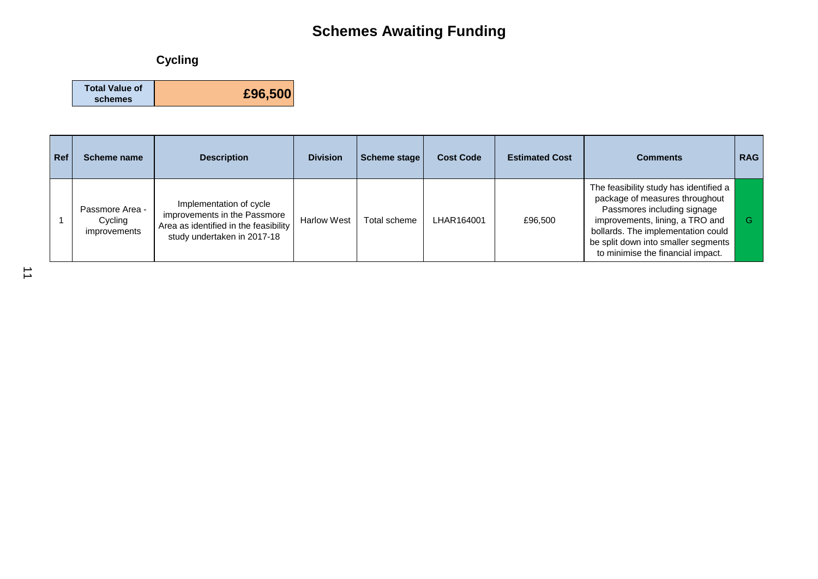### **Cycling**

| <b>Total Value of</b> |         |
|-----------------------|---------|
| schemes               | £96,500 |

| Ref | Scheme name                                | <b>Description</b>                                                                                                              | <b>Division</b>    | Scheme stage | <b>Cost Code</b> | <b>Estimated Cost</b> | <b>Comments</b>                                                                                                                                                                                                                                              | <b>RAG</b> |
|-----|--------------------------------------------|---------------------------------------------------------------------------------------------------------------------------------|--------------------|--------------|------------------|-----------------------|--------------------------------------------------------------------------------------------------------------------------------------------------------------------------------------------------------------------------------------------------------------|------------|
|     | Passmore Area -<br>Cycling<br>improvements | Implementation of cycle<br>improvements in the Passmore<br>Area as identified in the feasibility<br>study undertaken in 2017-18 | <b>Harlow West</b> | Total scheme | LHAR164001       | £96,500               | The feasibility study has identified a<br>package of measures throughout<br>Passmores including signage<br>improvements, lining, a TRO and<br>bollards. The implementation could<br>be split down into smaller segments<br>to minimise the financial impact. |            |

 $\overrightarrow{1}$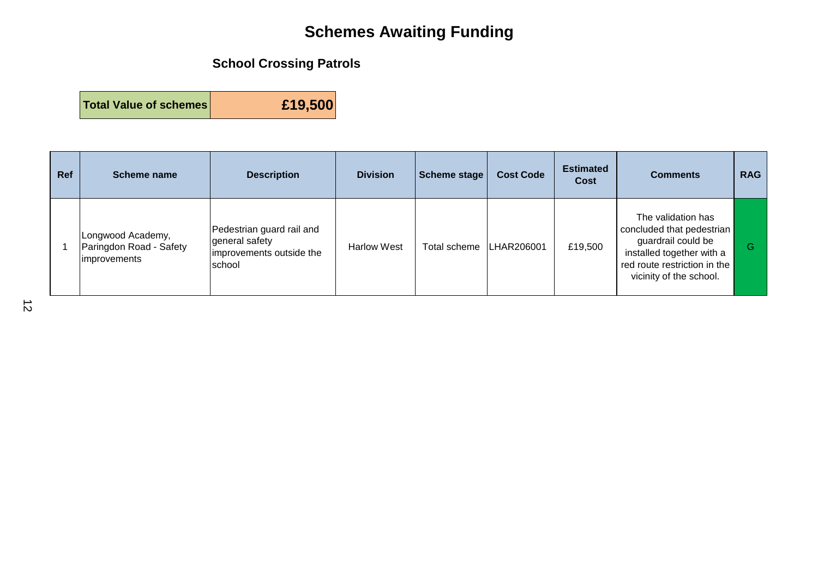### **School Crossing Patrols**

**Total Value of schemes £19,500**

| Ref | Scheme name                                                         | <b>Description</b>                                                                | <b>Division</b>    | <b>Scheme stage</b>     | <b>Cost Code</b> | <b>Estimated</b><br>Cost | <b>Comments</b>                                                                                                                                               | <b>RAG</b> |
|-----|---------------------------------------------------------------------|-----------------------------------------------------------------------------------|--------------------|-------------------------|------------------|--------------------------|---------------------------------------------------------------------------------------------------------------------------------------------------------------|------------|
|     | Longwood Academy,<br>Paringdon Road - Safety<br><i>improvements</i> | Pedestrian guard rail and<br>general safety<br>improvements outside the<br>school | <b>Harlow West</b> | Total scheme LHAR206001 |                  | £19,500                  | The validation has<br>concluded that pedestrian<br>guardrail could be<br>installed together with a<br>red route restriction in the<br>vicinity of the school. | G          |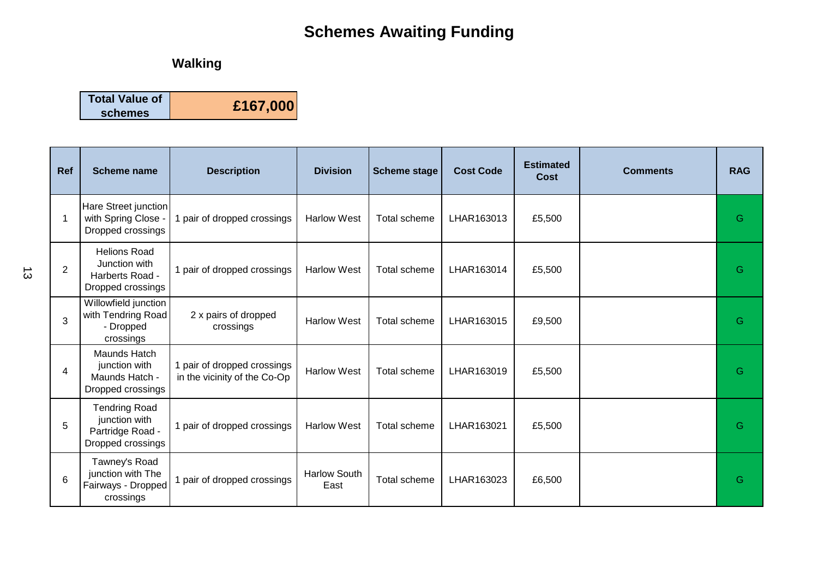## **Walking**

| <b>Total Value of</b> | £167,000 |
|-----------------------|----------|
| schemes               |          |

| <b>Ref</b>      | Scheme name                                                                    | <b>Description</b>                                          | <b>Division</b>             | <b>Scheme stage</b> | <b>Cost Code</b> | <b>Estimated</b><br>Cost | <b>Comments</b> | <b>RAG</b> |
|-----------------|--------------------------------------------------------------------------------|-------------------------------------------------------------|-----------------------------|---------------------|------------------|--------------------------|-----------------|------------|
|                 | Hare Street junction<br>with Spring Close -<br>Dropped crossings               | pair of dropped crossings                                   | <b>Harlow West</b>          | Total scheme        | LHAR163013       | £5,500                   |                 | G          |
| $\overline{2}$  | <b>Helions Road</b><br>Junction with<br>Harberts Road -<br>Dropped crossings   | 1 pair of dropped crossings                                 | <b>Harlow West</b>          | Total scheme        | LHAR163014       | £5,500                   |                 | G          |
| 3               | Willowfield junction<br>with Tendring Road<br>- Dropped<br>crossings           | 2 x pairs of dropped<br>crossings                           | <b>Harlow West</b>          | Total scheme        | LHAR163015       | £9,500                   |                 | G          |
| $\overline{4}$  | Maunds Hatch<br>junction with<br>Maunds Hatch -<br>Dropped crossings           | 1 pair of dropped crossings<br>in the vicinity of the Co-Op | <b>Harlow West</b>          | Total scheme        | LHAR163019       | £5,500                   |                 | G          |
| 5               | <b>Tendring Road</b><br>junction with<br>Partridge Road -<br>Dropped crossings | 1 pair of dropped crossings                                 | <b>Harlow West</b>          | Total scheme        | LHAR163021       | £5,500                   |                 | G          |
| $6\phantom{1}6$ | Tawney's Road<br>junction with The<br>Fairways - Dropped<br>crossings          | 1 pair of dropped crossings                                 | <b>Harlow South</b><br>East | Total scheme        | LHAR163023       | £6,500                   |                 | G          |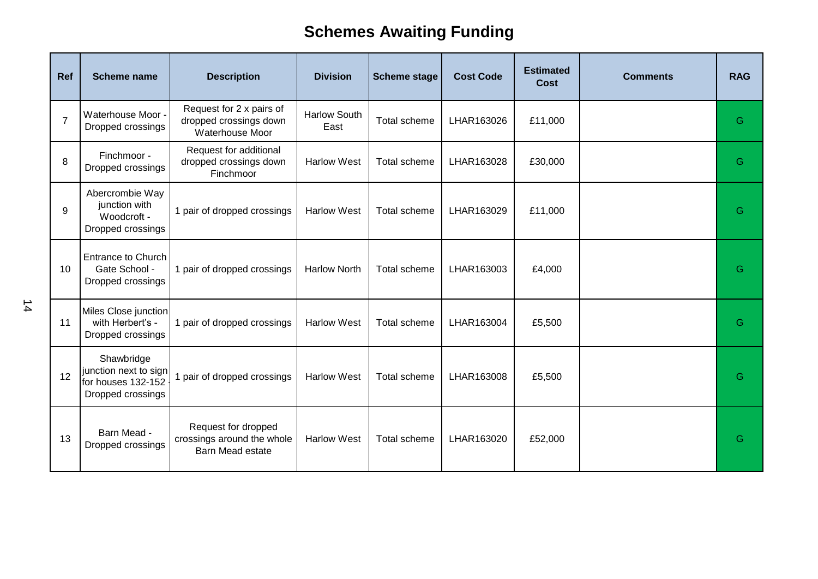| Ref            | <b>Scheme name</b>                                                             | <b>Description</b>                                                           | <b>Division</b>             | <b>Scheme stage</b> | <b>Cost Code</b> | <b>Estimated</b><br><b>Cost</b> | <b>Comments</b> | <b>RAG</b> |
|----------------|--------------------------------------------------------------------------------|------------------------------------------------------------------------------|-----------------------------|---------------------|------------------|---------------------------------|-----------------|------------|
| $\overline{7}$ | Waterhouse Moor -<br>Dropped crossings                                         | Request for 2 x pairs of<br>dropped crossings down<br>Waterhouse Moor        | <b>Harlow South</b><br>East | Total scheme        | LHAR163026       | £11,000                         |                 | G          |
| 8              | Finchmoor -<br>Dropped crossings                                               | Request for additional<br>dropped crossings down<br>Finchmoor                | <b>Harlow West</b>          | Total scheme        | LHAR163028       | £30,000                         |                 | G          |
| 9              | Abercrombie Way<br>junction with<br>Woodcroft -<br>Dropped crossings           | 1 pair of dropped crossings                                                  | <b>Harlow West</b>          | Total scheme        | LHAR163029       | £11,000                         |                 | G          |
| 10             | <b>Entrance to Church</b><br>Gate School -<br>Dropped crossings                | 1 pair of dropped crossings                                                  | <b>Harlow North</b>         | Total scheme        | LHAR163003       | £4,000                          |                 | G          |
| 11             | Miles Close junction<br>with Herbert's -<br>Dropped crossings                  | 1 pair of dropped crossings                                                  | <b>Harlow West</b>          | Total scheme        | LHAR163004       | £5,500                          |                 | G          |
| 12             | Shawbridge<br>junction next to sign<br>for houses 132-152<br>Dropped crossings | 1 pair of dropped crossings                                                  | <b>Harlow West</b>          | Total scheme        | LHAR163008       | £5,500                          |                 | G          |
| 13             | Barn Mead -<br>Dropped crossings                                               | Request for dropped<br>crossings around the whole<br><b>Barn Mead estate</b> | <b>Harlow West</b>          | Total scheme        | LHAR163020       | £52,000                         |                 | G          |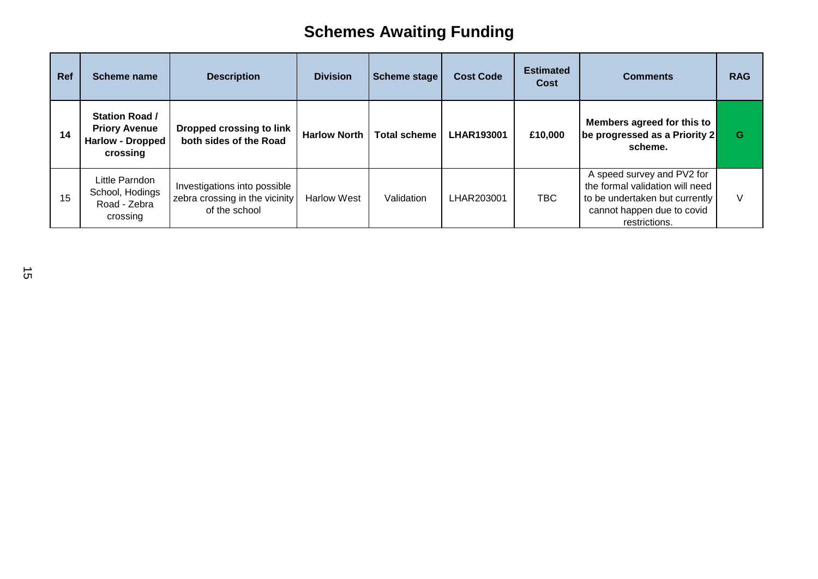| Ref | Scheme name                                                                          | <b>Description</b>                                                              | <b>Division</b>     | Scheme stage        | <b>Cost Code</b>  | <b>Estimated</b><br>Cost | <b>Comments</b>                                                                                                                                | <b>RAG</b> |
|-----|--------------------------------------------------------------------------------------|---------------------------------------------------------------------------------|---------------------|---------------------|-------------------|--------------------------|------------------------------------------------------------------------------------------------------------------------------------------------|------------|
| 14  | <b>Station Road /</b><br><b>Priory Avenue</b><br><b>Harlow - Dropped</b><br>crossing | Dropped crossing to link<br>both sides of the Road                              | <b>Harlow North</b> | <b>Total scheme</b> | <b>LHAR193001</b> | £10,000                  | Members agreed for this to<br>be progressed as a Priority 2<br>scheme.                                                                         | G          |
| 15  | Little Parndon<br>School, Hodings<br>Road - Zebra<br>crossing                        | Investigations into possible<br>zebra crossing in the vicinity<br>of the school | <b>Harlow West</b>  | Validation          | LHAR203001        | TBC                      | A speed survey and PV2 for<br>the formal validation will need<br>to be undertaken but currently<br>cannot happen due to covid<br>restrictions. | V          |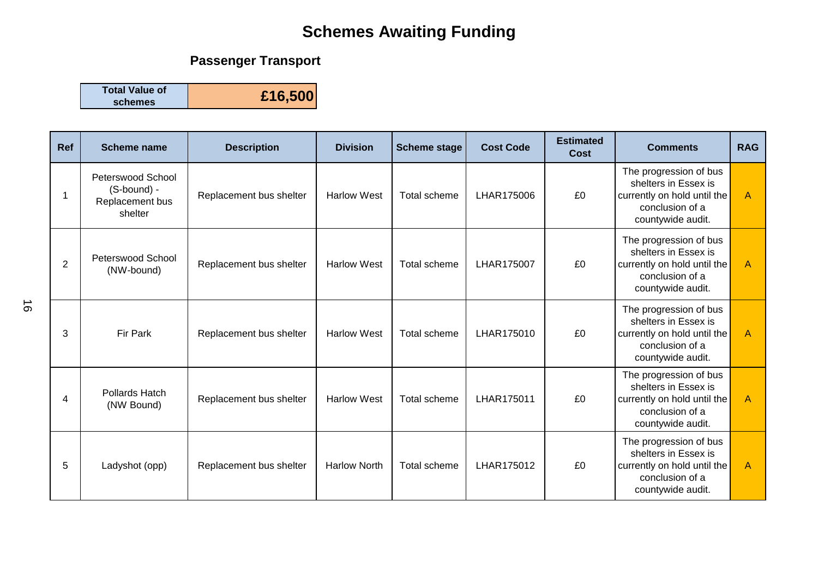## **Passenger Transport**

**Total Value of schemes £16,500**

| Ref            | <b>Scheme name</b>                                             | <b>Description</b>      | <b>Division</b>     | <b>Scheme stage</b> | <b>Cost Code</b> | <b>Estimated</b><br><b>Cost</b> | <b>Comments</b>                                                                                                       | <b>RAG</b>     |
|----------------|----------------------------------------------------------------|-------------------------|---------------------|---------------------|------------------|---------------------------------|-----------------------------------------------------------------------------------------------------------------------|----------------|
|                | Peterswood School<br>(S-bound) -<br>Replacement bus<br>shelter | Replacement bus shelter | <b>Harlow West</b>  | Total scheme        | LHAR175006       | £0                              | The progression of bus<br>shelters in Essex is<br>currently on hold until the<br>conclusion of a<br>countywide audit. | $\overline{A}$ |
| $\overline{2}$ | Peterswood School<br>(NW-bound)                                | Replacement bus shelter | <b>Harlow West</b>  | Total scheme        | LHAR175007       | £0                              | The progression of bus<br>shelters in Essex is<br>currently on hold until the<br>conclusion of a<br>countywide audit. | $\overline{A}$ |
| 3              | <b>Fir Park</b>                                                | Replacement bus shelter | <b>Harlow West</b>  | Total scheme        | LHAR175010       | £0                              | The progression of bus<br>shelters in Essex is<br>currently on hold until the<br>conclusion of a<br>countywide audit. | $\overline{A}$ |
| 4              | <b>Pollards Hatch</b><br>(NW Bound)                            | Replacement bus shelter | <b>Harlow West</b>  | Total scheme        | LHAR175011       | £0                              | The progression of bus<br>shelters in Essex is<br>currently on hold until the<br>conclusion of a<br>countywide audit. | $\mathsf{A}$   |
| 5              | Ladyshot (opp)                                                 | Replacement bus shelter | <b>Harlow North</b> | Total scheme        | LHAR175012       | £0                              | The progression of bus<br>shelters in Essex is<br>currently on hold until the<br>conclusion of a<br>countywide audit. | $\mathsf{A}$   |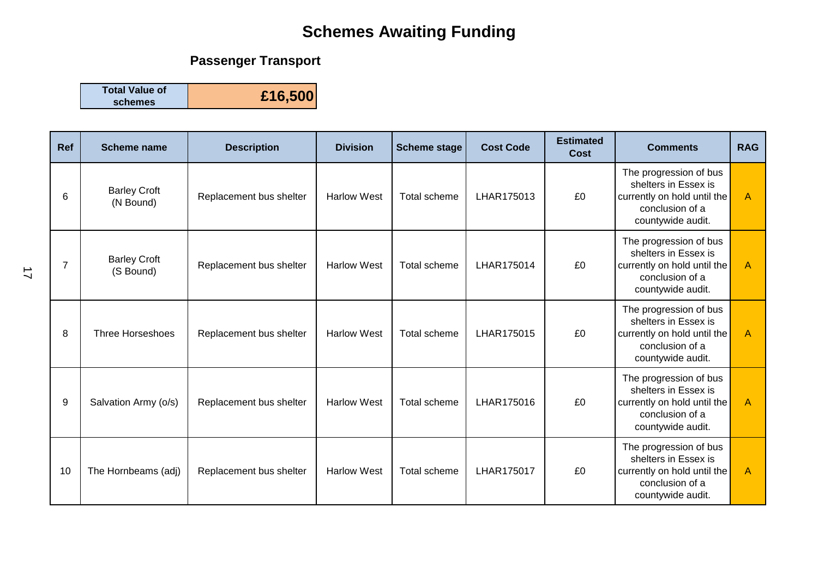## **Passenger Transport**

**Total Value of schemes £16,500**

| Ref            | <b>Scheme name</b>               | <b>Description</b>      | <b>Division</b>    | <b>Scheme stage</b> | <b>Cost Code</b> | <b>Estimated</b><br>Cost | <b>Comments</b>                                                                                                       | <b>RAG</b>     |
|----------------|----------------------------------|-------------------------|--------------------|---------------------|------------------|--------------------------|-----------------------------------------------------------------------------------------------------------------------|----------------|
| 6              | <b>Barley Croft</b><br>(N Bound) | Replacement bus shelter | <b>Harlow West</b> | Total scheme        | LHAR175013       | £0                       | The progression of bus<br>shelters in Essex is<br>currently on hold until the<br>conclusion of a<br>countywide audit. | $\mathsf{A}$   |
| $\overline{7}$ | <b>Barley Croft</b><br>(S Bound) | Replacement bus shelter | <b>Harlow West</b> | Total scheme        | LHAR175014       | £0                       | The progression of bus<br>shelters in Essex is<br>currently on hold until the<br>conclusion of a<br>countywide audit. | $\overline{A}$ |
| 8              | <b>Three Horseshoes</b>          | Replacement bus shelter | <b>Harlow West</b> | Total scheme        | LHAR175015       | £0                       | The progression of bus<br>shelters in Essex is<br>currently on hold until the<br>conclusion of a<br>countywide audit. | $\overline{A}$ |
| 9              | Salvation Army (o/s)             | Replacement bus shelter | <b>Harlow West</b> | Total scheme        | LHAR175016       | £0                       | The progression of bus<br>shelters in Essex is<br>currently on hold until the<br>conclusion of a<br>countywide audit. | $\overline{A}$ |
| 10             | The Hornbeams (adj)              | Replacement bus shelter | <b>Harlow West</b> | Total scheme        | LHAR175017       | £0                       | The progression of bus<br>shelters in Essex is<br>currently on hold until the<br>conclusion of a<br>countywide audit. | $\overline{A}$ |